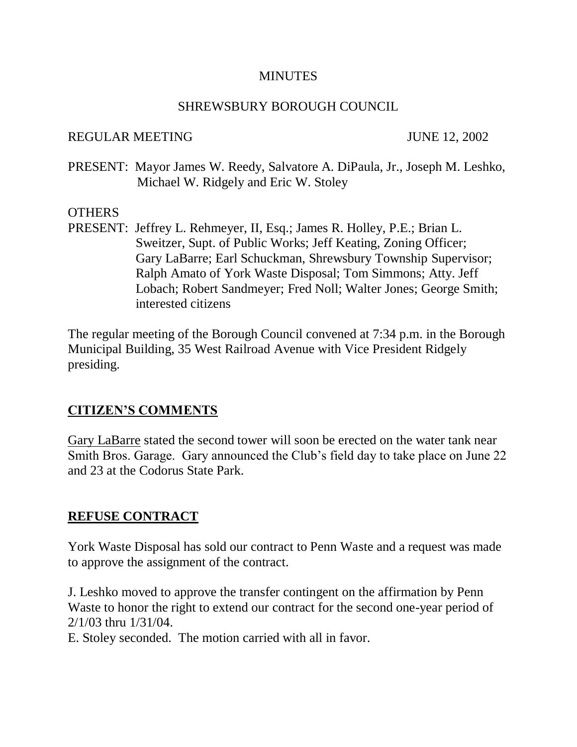#### **MINUTES**

## SHREWSBURY BOROUGH COUNCIL

#### REGULAR MEETING JUNE 12, 2002

PRESENT: Mayor James W. Reedy, Salvatore A. DiPaula, Jr., Joseph M. Leshko, Michael W. Ridgely and Eric W. Stoley

## **OTHERS**

PRESENT: Jeffrey L. Rehmeyer, II, Esq.; James R. Holley, P.E.; Brian L. Sweitzer, Supt. of Public Works; Jeff Keating, Zoning Officer; Gary LaBarre; Earl Schuckman, Shrewsbury Township Supervisor; Ralph Amato of York Waste Disposal; Tom Simmons; Atty. Jeff Lobach; Robert Sandmeyer; Fred Noll; Walter Jones; George Smith; interested citizens

The regular meeting of the Borough Council convened at 7:34 p.m. in the Borough Municipal Building, 35 West Railroad Avenue with Vice President Ridgely presiding.

## **CITIZEN'S COMMENTS**

Gary LaBarre stated the second tower will soon be erected on the water tank near Smith Bros. Garage. Gary announced the Club's field day to take place on June 22 and 23 at the Codorus State Park.

## **REFUSE CONTRACT**

York Waste Disposal has sold our contract to Penn Waste and a request was made to approve the assignment of the contract.

J. Leshko moved to approve the transfer contingent on the affirmation by Penn Waste to honor the right to extend our contract for the second one-year period of 2/1/03 thru 1/31/04.

E. Stoley seconded. The motion carried with all in favor.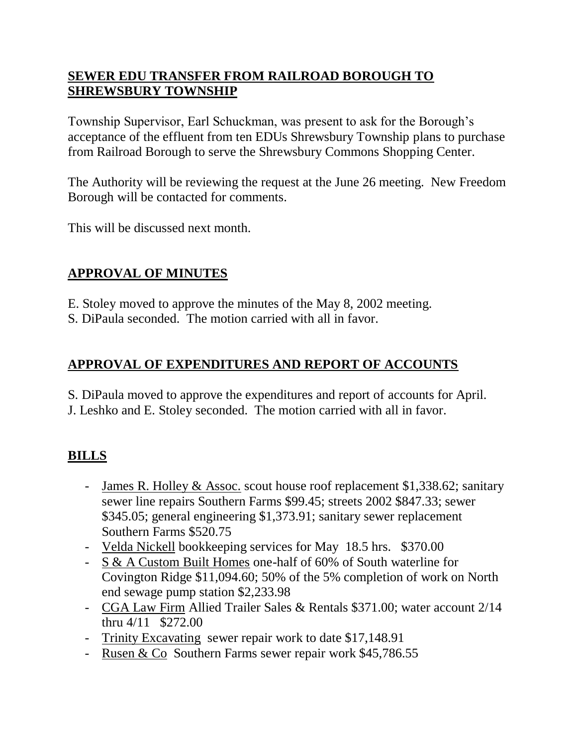# **SEWER EDU TRANSFER FROM RAILROAD BOROUGH TO SHREWSBURY TOWNSHIP**

Township Supervisor, Earl Schuckman, was present to ask for the Borough's acceptance of the effluent from ten EDUs Shrewsbury Township plans to purchase from Railroad Borough to serve the Shrewsbury Commons Shopping Center.

The Authority will be reviewing the request at the June 26 meeting. New Freedom Borough will be contacted for comments.

This will be discussed next month.

# **APPROVAL OF MINUTES**

- E. Stoley moved to approve the minutes of the May 8, 2002 meeting.
- S. DiPaula seconded. The motion carried with all in favor.

# **APPROVAL OF EXPENDITURES AND REPORT OF ACCOUNTS**

S. DiPaula moved to approve the expenditures and report of accounts for April.

J. Leshko and E. Stoley seconded. The motion carried with all in favor.

# **BILLS**

- James R. Holley & Assoc. scout house roof replacement \$1,338.62; sanitary sewer line repairs Southern Farms \$99.45; streets 2002 \$847.33; sewer \$345.05; general engineering \$1,373.91; sanitary sewer replacement Southern Farms \$520.75
- Velda Nickell bookkeeping services for May 18.5 hrs. \$370.00
- S & A Custom Built Homes one-half of 60% of South waterline for Covington Ridge \$11,094.60; 50% of the 5% completion of work on North end sewage pump station \$2,233.98
- CGA Law Firm Allied Trailer Sales & Rentals \$371.00; water account 2/14 thru 4/11 \$272.00
- Trinity Excavating sewer repair work to date \$17,148.91
- Rusen & Co Southern Farms sewer repair work \$45,786.55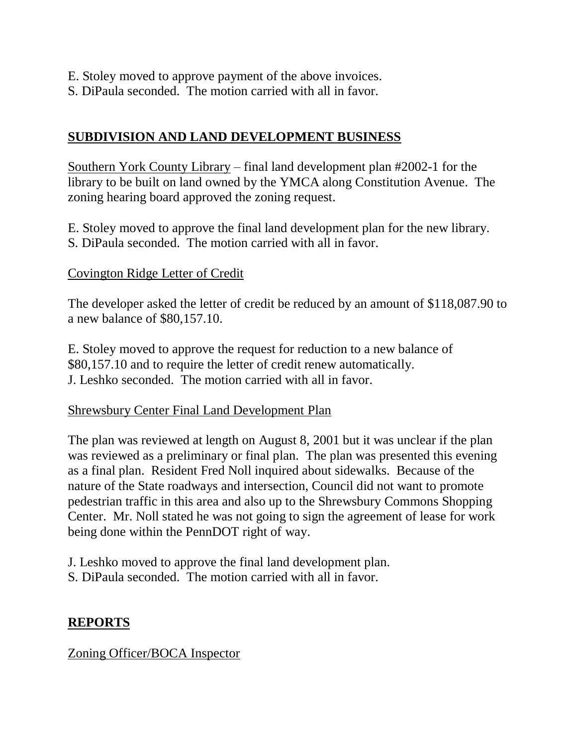- E. Stoley moved to approve payment of the above invoices.
- S. DiPaula seconded. The motion carried with all in favor.

# **SUBDIVISION AND LAND DEVELOPMENT BUSINESS**

Southern York County Library – final land development plan #2002-1 for the library to be built on land owned by the YMCA along Constitution Avenue. The zoning hearing board approved the zoning request.

E. Stoley moved to approve the final land development plan for the new library. S. DiPaula seconded. The motion carried with all in favor.

## Covington Ridge Letter of Credit

The developer asked the letter of credit be reduced by an amount of \$118,087.90 to a new balance of \$80,157.10.

E. Stoley moved to approve the request for reduction to a new balance of \$80,157.10 and to require the letter of credit renew automatically. J. Leshko seconded. The motion carried with all in favor.

## Shrewsbury Center Final Land Development Plan

The plan was reviewed at length on August 8, 2001 but it was unclear if the plan was reviewed as a preliminary or final plan. The plan was presented this evening as a final plan. Resident Fred Noll inquired about sidewalks. Because of the nature of the State roadways and intersection, Council did not want to promote pedestrian traffic in this area and also up to the Shrewsbury Commons Shopping Center. Mr. Noll stated he was not going to sign the agreement of lease for work being done within the PennDOT right of way.

J. Leshko moved to approve the final land development plan.

S. DiPaula seconded. The motion carried with all in favor.

## **REPORTS**

## Zoning Officer/BOCA Inspector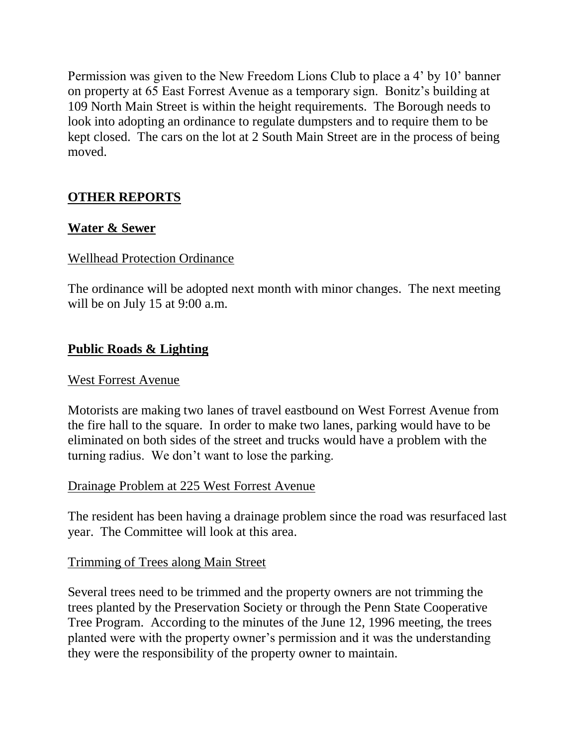Permission was given to the New Freedom Lions Club to place a 4' by 10' banner on property at 65 East Forrest Avenue as a temporary sign. Bonitz's building at 109 North Main Street is within the height requirements. The Borough needs to look into adopting an ordinance to regulate dumpsters and to require them to be kept closed. The cars on the lot at 2 South Main Street are in the process of being moved.

## **OTHER REPORTS**

## **Water & Sewer**

## Wellhead Protection Ordinance

The ordinance will be adopted next month with minor changes. The next meeting will be on July 15 at 9:00 a.m.

## **Public Roads & Lighting**

#### West Forrest Avenue

Motorists are making two lanes of travel eastbound on West Forrest Avenue from the fire hall to the square. In order to make two lanes, parking would have to be eliminated on both sides of the street and trucks would have a problem with the turning radius. We don't want to lose the parking.

## Drainage Problem at 225 West Forrest Avenue

The resident has been having a drainage problem since the road was resurfaced last year. The Committee will look at this area.

## Trimming of Trees along Main Street

Several trees need to be trimmed and the property owners are not trimming the trees planted by the Preservation Society or through the Penn State Cooperative Tree Program. According to the minutes of the June 12, 1996 meeting, the trees planted were with the property owner's permission and it was the understanding they were the responsibility of the property owner to maintain.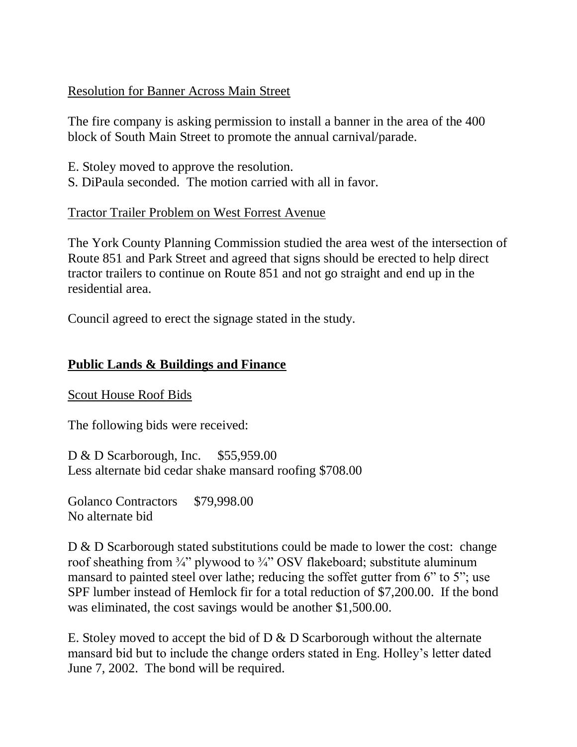## Resolution for Banner Across Main Street

The fire company is asking permission to install a banner in the area of the 400 block of South Main Street to promote the annual carnival/parade.

- E. Stoley moved to approve the resolution.
- S. DiPaula seconded. The motion carried with all in favor.

## Tractor Trailer Problem on West Forrest Avenue

The York County Planning Commission studied the area west of the intersection of Route 851 and Park Street and agreed that signs should be erected to help direct tractor trailers to continue on Route 851 and not go straight and end up in the residential area.

Council agreed to erect the signage stated in the study.

## **Public Lands & Buildings and Finance**

Scout House Roof Bids

The following bids were received:

D & D Scarborough, Inc. \$55,959.00 Less alternate bid cedar shake mansard roofing \$708.00

Golanco Contractors \$79,998.00 No alternate bid

D & D Scarborough stated substitutions could be made to lower the cost: change roof sheathing from  $\frac{3}{4}$ " plywood to  $\frac{3}{4}$ " OSV flakeboard; substitute aluminum mansard to painted steel over lathe; reducing the soffet gutter from 6" to 5"; use SPF lumber instead of Hemlock fir for a total reduction of \$7,200.00. If the bond was eliminated, the cost savings would be another \$1,500.00.

E. Stoley moved to accept the bid of D & D Scarborough without the alternate mansard bid but to include the change orders stated in Eng. Holley's letter dated June 7, 2002. The bond will be required.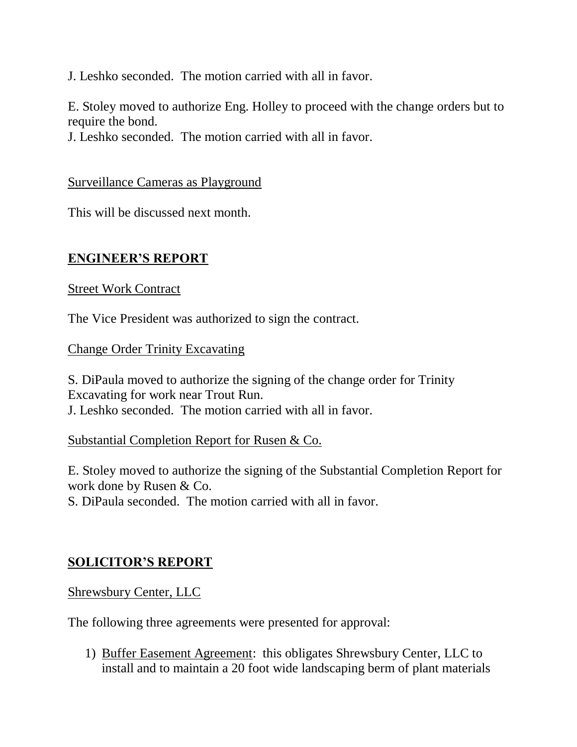J. Leshko seconded. The motion carried with all in favor.

E. Stoley moved to authorize Eng. Holley to proceed with the change orders but to require the bond.

J. Leshko seconded. The motion carried with all in favor.

## Surveillance Cameras as Playground

This will be discussed next month.

## **ENGINEER'S REPORT**

## Street Work Contract

The Vice President was authorized to sign the contract.

## Change Order Trinity Excavating

S. DiPaula moved to authorize the signing of the change order for Trinity Excavating for work near Trout Run. J. Leshko seconded. The motion carried with all in favor.

## Substantial Completion Report for Rusen & Co.

E. Stoley moved to authorize the signing of the Substantial Completion Report for work done by Rusen & Co.

S. DiPaula seconded. The motion carried with all in favor.

# **SOLICITOR'S REPORT**

Shrewsbury Center, LLC

The following three agreements were presented for approval:

1) Buffer Easement Agreement: this obligates Shrewsbury Center, LLC to install and to maintain a 20 foot wide landscaping berm of plant materials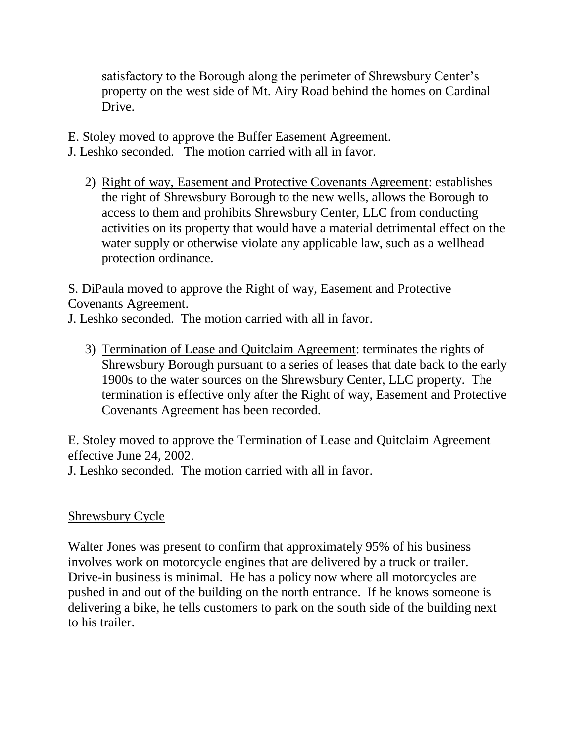satisfactory to the Borough along the perimeter of Shrewsbury Center's property on the west side of Mt. Airy Road behind the homes on Cardinal Drive.

E. Stoley moved to approve the Buffer Easement Agreement. J. Leshko seconded. The motion carried with all in favor.

2) Right of way, Easement and Protective Covenants Agreement: establishes the right of Shrewsbury Borough to the new wells, allows the Borough to access to them and prohibits Shrewsbury Center, LLC from conducting activities on its property that would have a material detrimental effect on the water supply or otherwise violate any applicable law, such as a wellhead protection ordinance.

S. DiPaula moved to approve the Right of way, Easement and Protective Covenants Agreement.

J. Leshko seconded. The motion carried with all in favor.

3) Termination of Lease and Quitclaim Agreement: terminates the rights of Shrewsbury Borough pursuant to a series of leases that date back to the early 1900s to the water sources on the Shrewsbury Center, LLC property. The termination is effective only after the Right of way, Easement and Protective Covenants Agreement has been recorded.

E. Stoley moved to approve the Termination of Lease and Quitclaim Agreement effective June 24, 2002.

J. Leshko seconded. The motion carried with all in favor.

## Shrewsbury Cycle

Walter Jones was present to confirm that approximately 95% of his business involves work on motorcycle engines that are delivered by a truck or trailer. Drive-in business is minimal. He has a policy now where all motorcycles are pushed in and out of the building on the north entrance. If he knows someone is delivering a bike, he tells customers to park on the south side of the building next to his trailer.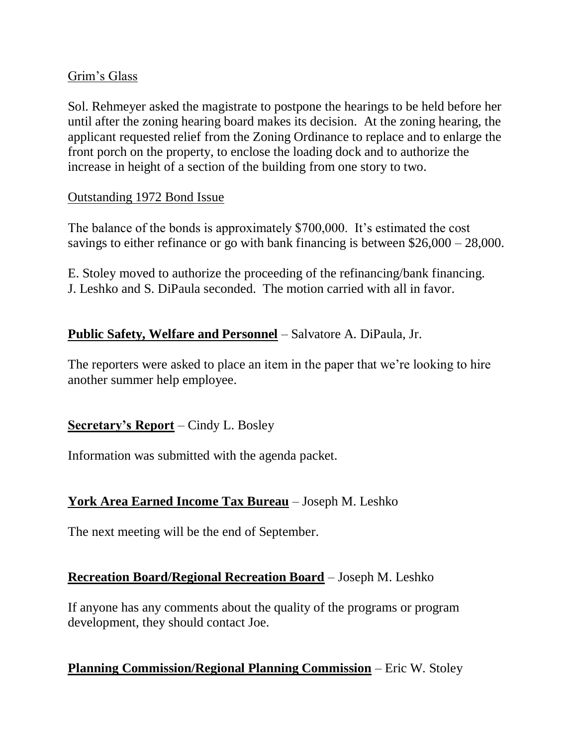## Grim's Glass

Sol. Rehmeyer asked the magistrate to postpone the hearings to be held before her until after the zoning hearing board makes its decision. At the zoning hearing, the applicant requested relief from the Zoning Ordinance to replace and to enlarge the front porch on the property, to enclose the loading dock and to authorize the increase in height of a section of the building from one story to two.

## Outstanding 1972 Bond Issue

The balance of the bonds is approximately \$700,000. It's estimated the cost savings to either refinance or go with bank financing is between \$26,000 – 28,000.

E. Stoley moved to authorize the proceeding of the refinancing/bank financing. J. Leshko and S. DiPaula seconded. The motion carried with all in favor.

## **Public Safety, Welfare and Personnel** – Salvatore A. DiPaula, Jr.

The reporters were asked to place an item in the paper that we're looking to hire another summer help employee.

## **Secretary's Report** – Cindy L. Bosley

Information was submitted with the agenda packet.

## **York Area Earned Income Tax Bureau** – Joseph M. Leshko

The next meeting will be the end of September.

## **Recreation Board/Regional Recreation Board** – Joseph M. Leshko

If anyone has any comments about the quality of the programs or program development, they should contact Joe.

## **Planning Commission/Regional Planning Commission** – Eric W. Stoley